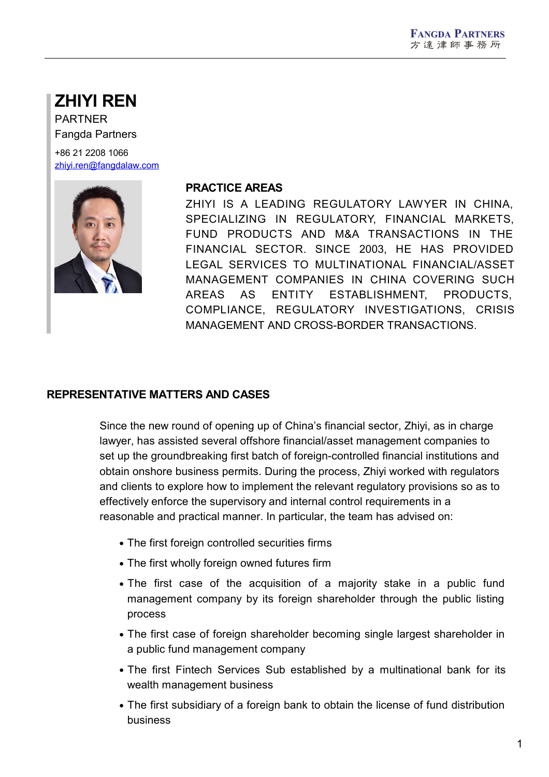# **ZHIYI REN**

PARTNER Fangda Partners

+86 21 2208 1066 [zhiyi.ren@fangdalaw.com](mailto:zhiyi.ren@fangdalaw.com)



#### **PRACTICE AREAS**

ZHIYI IS A LEADING REGULATORY LAWYER IN CHINA, SPECIALIZING IN REGULATORY, FINANCIAL MARKETS, FUND PRODUCTS AND M&A TRANSACTIONS IN THE FINANCIAL SECTOR. SINCE 2003, HE HAS PROVIDED LEGAL SERVICES TO MULTINATIONAL FINANCIAL/ASSET MANAGEMENT COMPANIES IN CHINA COVERING SUCH AREAS AS ENTITY ESTABLISHMENT, PRODUCTS, COMPLIANCE, REGULATORY INVESTIGATIONS, CRISIS MANAGEMENT AND CROSS-BORDER TRANSACTIONS.

## **REPRESENTATIVE MATTERS AND CASES**

Since the new round of opening up of China's financial sector, Zhiyi, as in charge lawyer, has assisted several offshore financial/asset management companies to set up the groundbreaking first batch of foreign-controlled financial institutions and obtain onshore business permits. During the process, Zhiyi worked with regulators and clients to explore how to implement the relevant regulatory provisions so as to effectively enforce the supervisory and internal control requirements in a reasonable and practical manner. In particular, the team has advised on:

- The first foreign controlled securities firms
- The first wholly foreign owned futures firm
- The first case of the acquisition of a majority stake in a public fund management company by its foreign shareholder through the public listing process
- The first case of foreign shareholder becoming single largest shareholder in a public fund management company
- The first Fintech Services Sub established by a multinational bank for its wealth management business
- The first subsidiary of a foreign bank to obtain the license of fund distribution business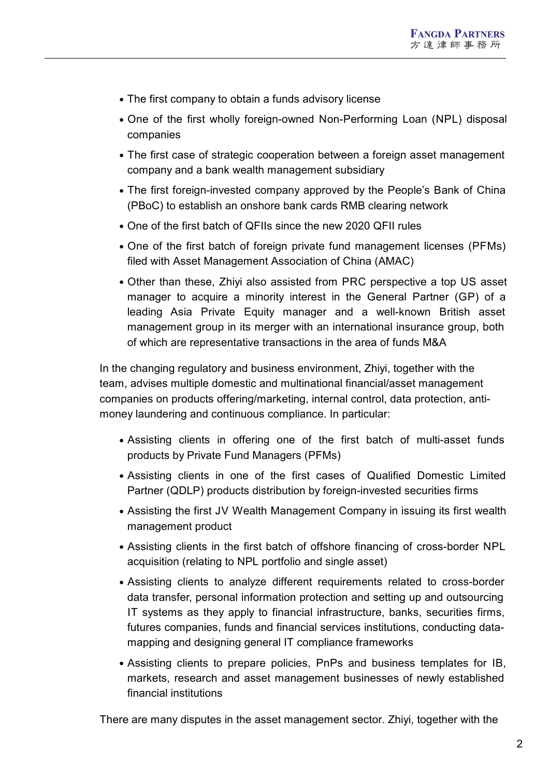- The first company to obtain a funds advisory license
- One of the first wholly foreign-owned Non-Performing Loan (NPL) disposal companies
- The first case of strategic cooperation between a foreign asset management company and a bank wealth management subsidiary
- The first foreign-invested company approved by the People's Bank of China (PBoC) to establish an onshore bank cards RMB clearing network
- One of the first batch of QFIIs since the new 2020 QFII rules
- One of the first batch of foreign private fund management licenses (PFMs) filed with Asset Management Association of China (AMAC)
- Other than these, Zhiyi also assisted from PRC perspective a top US asset manager to acquire a minority interest in the General Partner (GP) of a leading Asia Private Equity manager and a well-known British asset management group in its merger with an international insurance group, both of which are representative transactions in the area of funds M&A

In the changing regulatory and business environment, Zhiyi, together with the team, advises multiple domestic and multinational financial/asset management companies on products offering/marketing, internal control, data protection, anti money laundering and continuous compliance. In particular:

- Assisting clients in offering one of the first batch of multi-asset funds products by Private Fund Managers (PFMs)
- Assisting clients in one of the first cases of Qualified Domestic Limited Partner (QDLP) products distribution by foreign-invested securities firms
- Assisting the first JV Wealth Management Company in issuing its first wealth management product
- Assisting clients in the first batch of offshore financing of cross-border NPL acquisition (relating to NPL portfolio and single asset)
- Assisting clients to analyze different requirements related to cross-border data transfer, personal information protection and setting up and outsourcing IT systems as they apply to financial infrastructure, banks, securities firms, futures companies, funds and financial services institutions, conducting data mapping and designing general IT compliance frameworks
- Assisting clients to prepare policies, PnPs and business templates for IB, markets, research and asset management businesses of newly established financial institutions

There are many disputes in the asset management sector. Zhiyi, together with the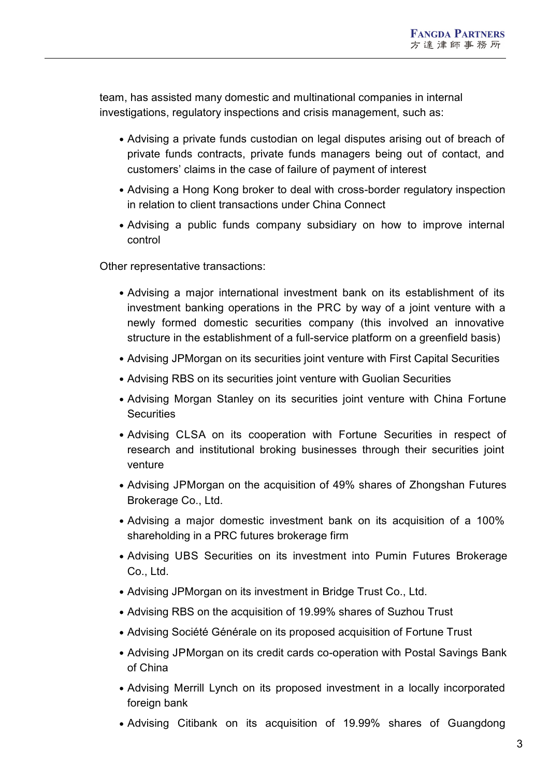team, has assisted many domestic and multinational companies in internal investigations, regulatory inspections and crisis management, such as:

- Advising a private funds custodian on legal disputes arising out of breach of private funds contracts, private funds managers being out of contact, and customers' claims in the case of failure of payment of interest
- Advising a Hong Kong broker to deal with cross-border regulatory inspection in relation to client transactions under China Connect
- Advising a public funds company subsidiary on how to improve internal control

Other representative transactions:

- Advising a major international investment bank on its establishment of its investment banking operations in the PRC by way of a joint venture with a newly formed domestic securities company (this involved an innovative structure in the establishment of a full-service platform on a greenfield basis)
- Advising JPMorgan on its securities joint venture with First Capital Securities
- Advising RBS on its securities joint venture with Guolian Securities
- Advising Morgan Stanley on its securities joint venture with China Fortune **Securities**
- Advising CLSA on its cooperation with Fortune Securities in respect of research and institutional broking businesses through their securities joint venture
- Advising JPMorgan on the acquisition of 49% shares of Zhongshan Futures Brokerage Co., Ltd.
- Advising a major domestic investment bank on its acquisition of a 100% shareholding in a PRC futures brokerage firm
- Advising UBS Securities on its investment into Pumin Futures Brokerage Co., Ltd.
- Advising JPMorgan on its investment in Bridge Trust Co., Ltd.
- Advising RBS on the acquisition of 19.99% shares of Suzhou Trust
- Advising Société Générale on its proposed acquisition of Fortune Trust
- Advising JPMorgan on its credit cards co-operation with Postal Savings Bank of China
- Advising Merrill Lynch on its proposed investment in a locally incorporated foreign bank
- Advising Citibank on its acquisition of 19.99% shares of Guangdong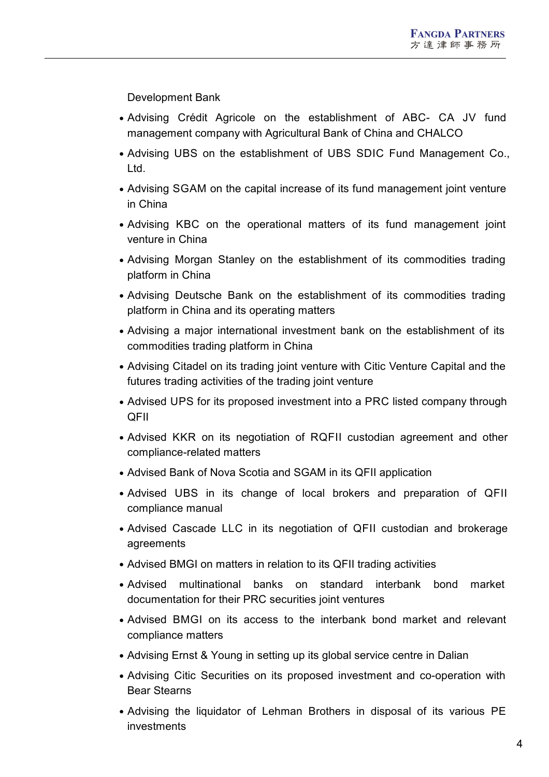Development Bank

- Advising Crédit Agricole on the establishment of ABC- CA JV fund management company with Agricultural Bank of China and CHALCO
- Advising UBS on the establishment of UBS SDIC Fund Management Co., Ltd.
- Advising SGAM on the capital increase of its fund management joint venture in China
- Advising KBC on the operational matters of its fund management joint venture in China
- Advising Morgan Stanley on the establishment of its commodities trading platform in China
- Advising Deutsche Bank on the establishment of its commodities trading platform in China and its operating matters
- Advising a major international investment bank on the establishment of its commodities trading platform in China
- Advising Citadel on its trading joint venture with Citic Venture Capital and the futures trading activities of the trading joint venture
- Advised UPS for its proposed investment into a PRC listed company through QFII
- Advised KKR on its negotiation of RQFII custodian agreement and other compliance-related matters
- Advised Bank of Nova Scotia and SGAM in its QFII application
- Advised UBS in its change of local brokers and preparation of QFII compliance manual
- Advised Cascade LLC in its negotiation of QFII custodian and brokerage agreements
- Advised BMGI on matters in relation to its QFII trading activities
- Advised multinational banks on standard interbank bond market documentation for their PRC securities joint ventures
- Advised BMGI on its access to the interbank bond market and relevant compliance matters
- Advising Ernst & Young in setting up its global service centre in Dalian
- Advising Citic Securities on its proposed investment and co-operation with Bear Stearns
- Advising the liquidator of Lehman Brothers in disposal of its various PE investments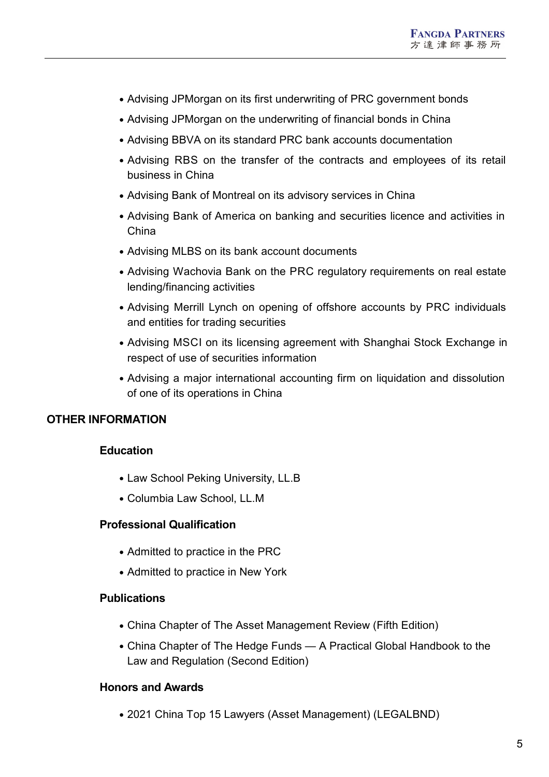- Advising JPMorgan on its first underwriting of PRC government bonds
- Advising JPMorgan on the underwriting of financial bonds in China
- Advising BBVA on its standard PRC bank accounts documentation
- Advising RBS on the transfer of the contracts and employees of its retail business in China
- Advising Bank of Montreal on its advisory services in China
- Advising Bank of America on banking and securities licence and activities in China
- Advising MLBS on its bank account documents
- Advising Wachovia Bank on the PRC regulatory requirements on real estate lending/financing activities
- Advising Merrill Lynch on opening of offshore accounts by PRC individuals and entities for trading securities
- Advising MSCI on its licensing agreement with Shanghai Stock Exchange in respect of use of securities information
- Advising a major international accounting firm on liquidation and dissolution of one of its operations in China

## **OTHER INFORMATION**

## **Education**

- Law School Peking University, LL.B
- Columbia Law School, LL.M

### **Professional Qualification**

- Admitted to practice in the PRC
- Admitted to practice in New York

#### **Publications**

- China Chapter of The Asset Management Review (Fifth Edition)
- China Chapter of The Hedge Funds A Practical Global Handbook to the Law and Regulation (Second Edition)

#### **Honors and Awards**

2021 China Top 15 Lawyers (Asset Management) (LEGALBND)